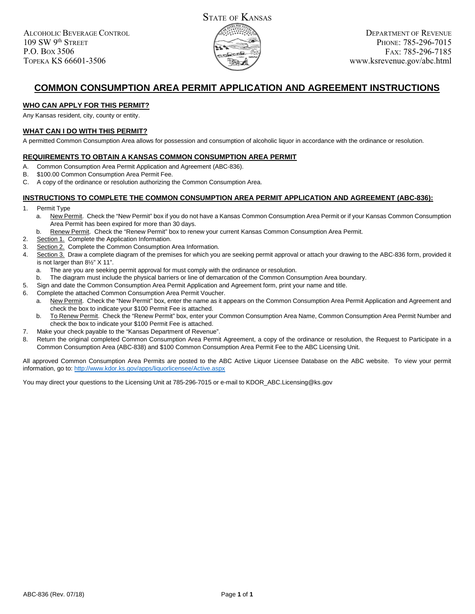

# **COMMON CONSUMPTION AREA PERMIT APPLICATION AND AGREEMENT INSTRUCTIONS**

#### **WHO CAN APPLY FOR THIS PERMIT?**

Any Kansas resident, city, county or entity.

#### **WHAT CAN I DO WITH THIS PERMIT?**

A permitted Common Consumption Area allows for possession and consumption of alcoholic liquor in accordance with the ordinance or resolution.

#### **REQUIREMENTS TO OBTAIN A KANSAS COMMON CONSUMPTION AREA PERMIT**

- A. Common Consumption Area Permit Application and Agreement (ABC-836).
- B. \$100.00 Common Consumption Area Permit Fee.
- C. A copy of the ordinance or resolution authorizing the Common Consumption Area.

#### **INSTRUCTIONS TO COMPLETE THE COMMON CONSUMPTION AREA PERMIT APPLICATION AND AGREEMENT (ABC-836):**

- 1. Permit Type
	- a. New Permit. Check the "New Permit" box if you do not have a Kansas Common Consumption Area Permit or if your Kansas Common Consumption Area Permit has been expired for more than 30 days.
	- b. Renew Permit. Check the "Renew Permit" box to renew your current Kansas Common Consumption Area Permit.
- 2. Section 1. Complete the Application Information.
- 3. Section 2. Complete the Common Consumption Area Information.
- 4. Section 3. Draw a complete diagram of the premises for which you are seeking permit approval or attach your drawing to the ABC-836 form, provided it is not larger than 8½" X 11".
	- a. The are you are seeking permit approval for must comply with the ordinance or resolution.
	- The diagram must include the physical barriers or line of demarcation of the Common Consumption Area boundary.
- 5. Sign and date the Common Consumption Area Permit Application and Agreement form, print your name and title.
- 6. Complete the attached Common Consumption Area Permit Voucher.
	- a. New Permit. Check the "New Permit" box, enter the name as it appears on the Common Consumption Area Permit Application and Agreement and check the box to indicate your \$100 Permit Fee is attached.
	- b. To Renew Permit. Check the "Renew Permit" box, enter your Common Consumption Area Name, Common Consumption Area Permit Number and check the box to indicate your \$100 Permit Fee is attached.
- 7. Make your check payable to the "Kansas Department of Revenue".
- 8. Return the original completed Common Consumption Area Permit Agreement, a copy of the ordinance or resolution, the Request to Participate in a Common Consumption Area (ABC-838) and \$100 Common Consumption Area Permit Fee to the ABC Licensing Unit.

All approved Common Consumption Area Permits are posted to the ABC Active Liquor Licensee Database on the ABC website. To view your permit information, go to: http://www.kdor.ks.gov/apps/liquorlicensee/Active.aspx

You may direct your questions to the Licensing Unit at 785-296-7015 or e-mail to KDOR\_ABC.Licensing@ks.gov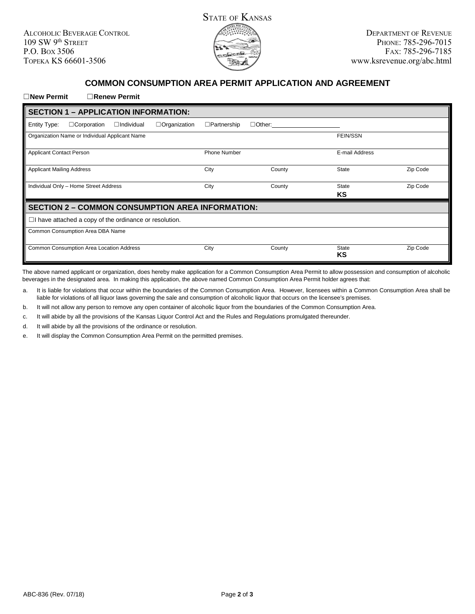ALCOHOLIC BEVERAGE CONTROL 109 SW 9th STREET P.O. BOX 3506 TOPEKA KS 66601-3506



## **COMMON CONSUMPTION AREA PERMIT APPLICATION AND AGREEMENT**

#### ☐**New Permit** ☐**Renew Permit**

| <b>SECTION 1 - APPLICATION INFORMATION:</b>                                    |                     |               |                    |          |
|--------------------------------------------------------------------------------|---------------------|---------------|--------------------|----------|
| $\Box$ Corporation<br>$\Box$ Organization<br>Entity Type:<br>$\Box$ Individual | $\Box$ Partnership  | $\Box$ Other: |                    |          |
| Organization Name or Individual Applicant Name                                 |                     |               | <b>FEIN/SSN</b>    |          |
| <b>Applicant Contact Person</b>                                                | <b>Phone Number</b> |               | E-mail Address     |          |
| <b>Applicant Mailing Address</b>                                               | City                | County        | <b>State</b>       | Zip Code |
| Individual Only - Home Street Address                                          | City                | County        | <b>State</b><br>ΚS | Zip Code |
| <b>SECTION 2 - COMMON CONSUMPTION AREA INFORMATION:</b>                        |                     |               |                    |          |
| $\Box$ have attached a copy of the ordinance or resolution.                    |                     |               |                    |          |
| Common Consumption Area DBA Name                                               |                     |               |                    |          |
| Common Consumption Area Location Address                                       | City                | County        | <b>State</b><br>ΚS | Zip Code |

The above named applicant or organization, does hereby make application for a Common Consumption Area Permit to allow possession and consumption of alcoholic beverages in the designated area. In making this application, the above named Common Consumption Area Permit holder agrees that:

a. It is liable for violations that occur within the boundaries of the Common Consumption Area. However, licensees within a Common Consumption Area shall be liable for violations of all liquor laws governing the sale and consumption of alcoholic liquor that occurs on the licensee's premises.

b. It will not allow any person to remove any open container of alcoholic liquor from the boundaries of the Common Consumption Area.

c. It will abide by all the provisions of the Kansas Liquor Control Act and the Rules and Regulations promulgated thereunder.

d. It will abide by all the provisions of the ordinance or resolution.

e. It will display the Common Consumption Area Permit on the permitted premises.